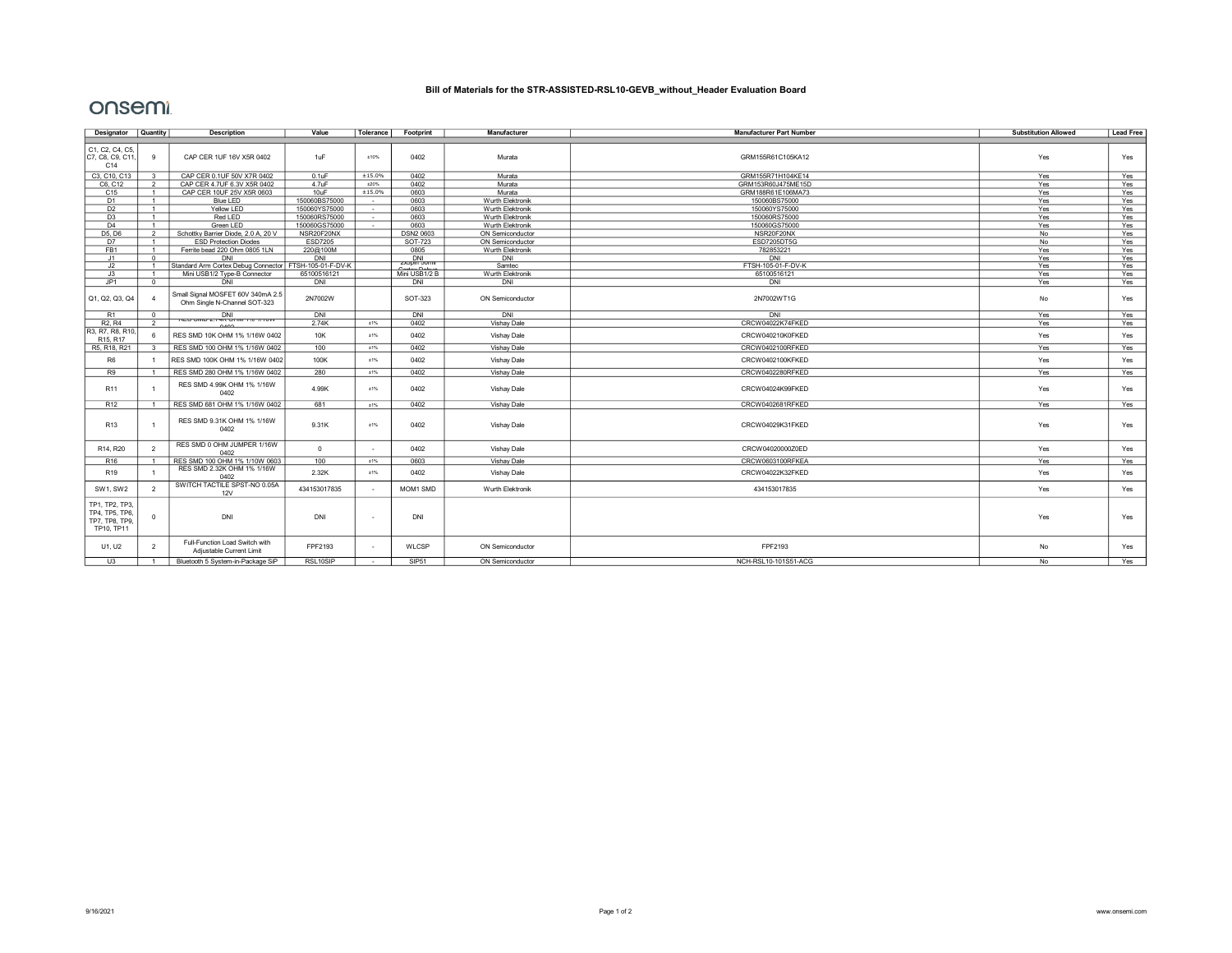## Bill of Materials for the STR-ASSISTED-RSL10-GEVB\_without\_Header Evaluation Board

## onsemi

| Designator Quantity               |                         | <b>Description</b>                                     | Value                          | Tolerance   | Footprint                                    | Manufacturer                         | <b>Manufacturer Part Number</b> | <b>Substitution Allowed</b> | <b>Lead Free</b> |
|-----------------------------------|-------------------------|--------------------------------------------------------|--------------------------------|-------------|----------------------------------------------|--------------------------------------|---------------------------------|-----------------------------|------------------|
|                                   |                         |                                                        |                                |             |                                              |                                      |                                 |                             |                  |
| C1, C2, C4, C5,                   |                         |                                                        |                                |             |                                              |                                      |                                 |                             |                  |
| C7, C8, C9, C11,                  | 9                       | CAP CER 1UF 16V X5R 0402                               | 1uF                            | ±10%        | 0402                                         | Murata                               | GRM155R61C105KA12               | Yes                         | Yes              |
| C14                               |                         |                                                        |                                |             |                                              |                                      |                                 |                             |                  |
| C3, C10, C13                      | $\overline{\mathbf{3}}$ | CAP CER 0.1UF 50V X7R 0402                             | $0.1$ u $F$                    | ±15.0%      | 0402                                         | Murata                               | GRM155R71H104KE14               | Yes                         | Yes              |
| C6, C12                           | $\overline{2}$          | CAP CER 4.7UF 6.3V X5R 0402                            | 4.7uF                          | <b>±20%</b> | 0402                                         | Murata                               | GRM153R60J475ME15D              | Yes                         | Yes              |
| C <sub>15</sub>                   | $\overline{1}$          | CAP CER 10UF 25V X5R 0603                              | 10uF                           | ±15.0%      | 0603                                         | Murata                               | GRM188R61E106MA73               | Yes                         | Yes              |
| D <sub>1</sub>                    | 1                       | Blue LED                                               | 150060BS75000                  | $\sim$      | 0603                                         | Wurth Elektronik                     | 150060BS75000                   | Yes                         | Yes              |
| D2                                | 1<br>$\overline{1}$     | Yellow LED                                             | 150060YS75000                  | $\sim$      | 0603                                         | Wurth Elektronik                     | 150060YS75000                   | Yes                         | Yes              |
| D <sub>3</sub><br>D <sub>4</sub>  | $\sim$                  | Red LED<br>Green LED                                   | 150060RS75000<br>150060GS75000 | $\sim$      | 0603<br>0603                                 | Wurth Elektronik<br>Wurth Elektronik | 150060RS75000<br>150060GS75000  | Yes<br>Yes                  | Yes<br>Yes       |
| D5, D6                            | 2                       | Schottky Barrier Diode, 2.0 A, 20 V                    | NSR20F20NX                     | $\sim$      | <b>DSN2 0603</b>                             | ON Semiconductor                     | NSR20F20NX                      | No.                         | Yes              |
| D7                                | 1                       | <b>ESD Protection Diodes</b>                           | <b>ESD7205</b>                 |             | SOT-723                                      | ON Semiconductor                     | ESD7205DT5G                     | No.                         | Yes              |
| FB <sub>1</sub>                   | $\overline{1}$          | Ferrite bead 220 Ohm 0805 1LN                          | 220@100M                       |             | 0805                                         | Wurth Elektronik                     | 782853221                       | Yes                         | Yes              |
| J1                                | $\overline{0}$          | DNI                                                    | DNI                            |             |                                              | DNI                                  | <b>DNI</b>                      | Yes                         | Yes              |
| J2                                | $\overline{1}$          | Standard Arm Cortex Debug Connector FTSH-105-01-F-DV-K |                                |             | $\frac{DN}{\text{cuspim} \cdot \text{cusp}}$ | Samtec                               | FTSH-105-01-F-DV-K              | Yes                         | Yes              |
| J3                                | $\overline{1}$          | Mini USB1/2 Type-B Connector                           | 65100516121                    |             | خماتك منعقبة<br>Mini USB1/2 B                | Wurth Elektronik                     | 65100516121                     | Yes                         | Yes              |
| JPI                               | $\overline{0}$          | DNI                                                    | DNI                            |             | DNI                                          | <b>DNI</b>                           | DNI                             | Yes                         | Yes              |
|                                   |                         |                                                        |                                |             |                                              |                                      |                                 |                             |                  |
| Q1, Q2, Q3, Q4                    | $\overline{a}$          | Small Signal MOSFET 60V 340mA 2.5                      | 2N7002W                        |             | SOT-323                                      | ON Semiconductor                     | 2N7002WT1G                      | <b>No</b>                   | Yes              |
|                                   |                         | Ohm Single N-Channel SOT-323                           |                                |             |                                              |                                      |                                 |                             |                  |
| <b>R1</b>                         | $\circ$                 | DNI<br>Theo only 2.74R OTHW 176 1710W                  | DNI                            |             | DNI                                          | DNI                                  | DNI                             | Yes                         | Yes              |
| R <sub>2</sub> , R <sub>4</sub>   | $2^{\circ}$             |                                                        | 2.74K                          | ±1%         | 0402                                         | Vishav Dale                          | CRCW04022K74FKED                | Yes                         | Yes              |
| R3, R7, R8, R10.                  |                         |                                                        |                                |             |                                              |                                      |                                 |                             |                  |
| R <sub>15</sub> , R <sub>17</sub> | 6                       | RES SMD 10K OHM 1% 1/16W 0402                          | 10K                            | ±1%         | 0402                                         | Vishav Dale                          | CRCW040210K0FKED                | Yes                         | Yes              |
| R5, R18, R21                      | 3                       | RES SMD 100 OHM 1% 1/16W 0402                          | 100                            | ±1%         | 0402                                         | Vishay Dale                          | CRCW0402100RFKED                | Yes                         | Yes              |
| R <sub>6</sub>                    |                         | RES SMD 100K OHM 1% 1/16W 0402                         | 100K                           | ±1%         | 0402                                         | Vishay Dale                          | CRCW0402100KFKED                | Yes                         | Yes              |
|                                   |                         |                                                        |                                |             |                                              |                                      |                                 |                             |                  |
| R <sub>9</sub>                    |                         | RES SMD 280 OHM 1% 1/16W 0402                          | 280                            | ±1%         | 0402                                         | Vishav Dale                          | CRCW0402280RFKED                | Yes                         | Yes              |
| R <sub>11</sub>                   |                         | RES SMD 4.99K OHM 1% 1/16W                             | 4.99K                          | ±1%         | 0402                                         | Vishay Dale                          | CRCW04024K99FKED                | Yes                         | Yes              |
|                                   |                         | 0402                                                   |                                |             |                                              |                                      |                                 |                             |                  |
| R <sub>12</sub>                   | $\overline{1}$          | RES SMD 681 OHM 1% 1/16W 0402                          | 681                            | ±1%         | 0402                                         | Vishav Dale                          | CRCW0402681RFKED                | Yes                         | Yes              |
|                                   |                         |                                                        |                                |             |                                              |                                      |                                 |                             |                  |
|                                   |                         | RES SMD 9.31K OHM 1% 1/16W                             |                                |             |                                              |                                      |                                 |                             |                  |
| R <sub>13</sub>                   |                         | 0402                                                   | 9.31K                          | ±1%         | 0402                                         | Vishay Dale                          | CRCW04029K31FKED                | Yes                         | Yes              |
|                                   |                         |                                                        |                                |             |                                              |                                      |                                 |                             |                  |
| R14, R20                          | $\overline{2}$          | RES SMD 0 OHM JUMPER 1/16W                             | $\Omega$                       |             | 0402                                         | Vishay Dale                          | CRCW04020000Z0ED                | Yes                         | Yes              |
|                                   |                         | 0402                                                   |                                |             |                                              |                                      |                                 |                             |                  |
| R <sub>16</sub>                   |                         | RES SMD 100 OHM 1% 1/10W 0603                          | 100                            | ±1%         | 0603                                         | Vishav Dale                          | CRCW0603100RFKEA                | Yes                         | Yes              |
| R <sub>19</sub>                   |                         | RES SMD 2.32K OHM 1% 1/16W                             | 2.32K                          | ±1%         | 0402                                         | Vishav Dale                          | CRCW04022K32FKED                | Yes                         | Yes              |
|                                   |                         | 0402                                                   |                                |             |                                              |                                      |                                 |                             |                  |
| SW1. SW2                          | $\overline{2}$          | SWITCH TACTILE SPST-NO 0.05A                           | 434153017835                   |             | MOM1 SMD                                     | Wurth Elektronik                     | 434153017835                    | Yes                         | Yes              |
|                                   |                         | 12V                                                    |                                |             |                                              |                                      |                                 |                             |                  |
| TP1, TP2, TP3,                    |                         |                                                        |                                |             |                                              |                                      |                                 |                             |                  |
| TP4, TP5, TP6,                    | $\mathbf 0$             | DNI                                                    | DNI                            |             | DNI                                          |                                      |                                 | Yes                         | Yes              |
| TP7, TP8, TP9,                    |                         |                                                        |                                |             |                                              |                                      |                                 |                             |                  |
| TP10, TP11                        |                         |                                                        |                                |             |                                              |                                      |                                 |                             |                  |
|                                   |                         | Full-Function Load Switch with                         |                                |             |                                              |                                      |                                 |                             |                  |
| U1, U2                            | 2                       | Adjustable Current Limit                               | FPF2193                        |             | WLCSP                                        | ON Semiconductor                     | FPF2193                         | No                          | Yes              |
|                                   |                         |                                                        |                                |             |                                              |                                      |                                 |                             |                  |
| U <sub>3</sub>                    | $\sim$                  | Bluetooth 5 System-in-Package SiP                      | RSL10SIP                       | $\sim$      | SIP51                                        | ON Semiconductor                     | NCH-RSL10-101S51-ACG            | No                          | Yes              |